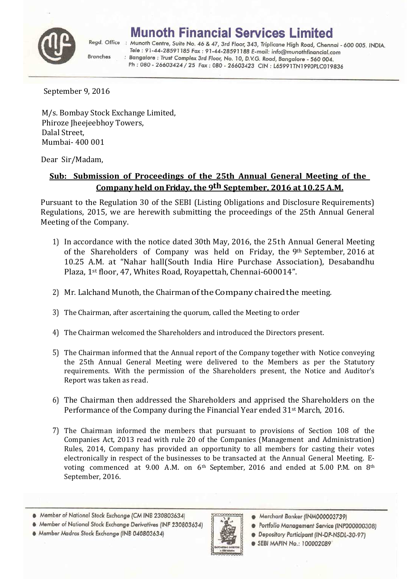

**Branches** 

## **Munoth Financial Services Limited**

Regd. Office : Munoth Centre, Suite No. 46 & 47, 3rd Floor, 343, Triplicane High Road, Chennai - 600 005. INDIA. Tele : 91-44-28591185 Fax : 91-44-28591188 E-mail: info@munothfinancial.com : Bangalore : Trust Complex 3rd Floor, No. 10, D.V.G. Road, Bangalore - 560 004. Ph: 080 - 26603424 / 25 Fax: 080 - 26603423 CIN: L65991TN1990PLC019836

September 9, 2016

M/s. Bombay Stock Exchange Limited, Phiroze Jheejeebhoy Towers, Dalal Street, Mumbai- 400 001

Dear Sir/Madam,

## **Sub: Submission of Proceedings of the 25th Annual General Meeting of the Company held on Friday, the 9th September, 2016 at 10.25 A.M.**

Pursuant to the Regulation 30 of the SEBI (Listing Obligations and Disclosure Requirements) Regulations, 2015, we are herewith submitting the proceedings of the 25th Annual General Meeting of the Company.

- 1) In accordance with the notice dated 30th May, 2016, the 25th Annual General Meeting of the Shareholders of Company was held on Friday, the 9th September, 2016 at 10.25 A.M. at "Nahar hall(South India Hire Purchase Association), Desabandhu Plaza, 1st floor, 47, Whites Road, Royapettah, Chennai-600014".
- 2) Mr. Lalchand Munoth, the Chairman of the Company chaired the meeting.
- 3) The Chairman, after ascertaining the quorum, called the Meeting to order
- 4) The Chairman welcomed the Shareholders and introduced the Directors present.
- 5) The Chairman informed that the Annual report of the Company together with Notice conveying the 25th Annual General Meeting were delivered to the Members as per the Statutory requirements. With the permission of the Shareholders present, the Notice and Auditor's Report was taken as read.
- 6) The Chairman then addressed the Shareholders and apprised the Shareholders on the Performance of the Company during the Financial Year ended 31<sup>st</sup> March, 2016.
- 7) The Chairman informed the members that pursuant to provisions of Section 108 of the Companies Act, 2013 read with rule 20 of the Companies (Management and Administration) Rules, 2014, Company has provided an opportunity to all members for casting their votes electronically in respect of the businesses to be transacted at the Annual General Meeting. Evoting commenced at 9.00 A.M. on  $6<sup>th</sup>$  September, 2016 and ended at 5.00 P.M. on  $8<sup>th</sup>$ September, 2016.
- Member of National Stock Exchange (CM INB 230803634)
- Member of National Stock Exchange Derivatives (INF 230803634)
- · Member Madras Stock Exchange (INB 040803634)



- Merchant Banker (INM000003739)
- Portfolio Management Service (INP000000308)
- **@** Depository Participant (IN-DP-NSDL-30-97)
- **SEBI MAPIN No.: 100002089**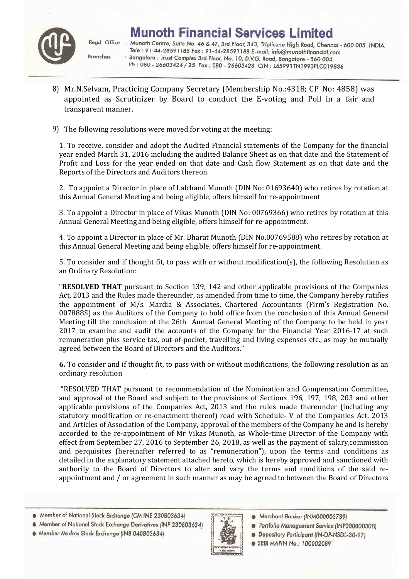

Regd. Office : Munoth Centre, Suite No. 46 & 47, 3rd Floor, 343, Triplicane High Road, Chennai - 600 005. INDIA. Tele : 91-44-28591185 Fax : 91-44-28591188 E-mail: info@munothfinancial.com **Branches** : Bangalore : Trust Complex 3rd Floor, No. 10, D.V.G. Road, Bangalore - 560 004. Ph: 080 - 26603424 / 25 Fax: 080 - 26603423 CIN: L65991TN1990PLC019836

- 8) Mr.N.Selvam, Practicing Company Secretary (Membership No.:4318; CP No: 4858) was appointed as Scrutinizer by Board to conduct the E-voting and Poll in a fair and transparent manner.
- 9) The following resolutions were moved for voting at the meeting:

1. To receive, consider and adopt the Audited Financial statements of the Company for the financial year ended March 31, 2016 including the audited Balance Sheet as on that date and the Statement of Profit and Loss for the year ended on that date and Cash flow Statement as on that date and the Reports of the Directors and Auditors thereon.

2. To appoint a Director in place of Lalchand Munoth (DIN No: 01693640) who retires by rotation at this Annual General Meeting and being eligible, offers himself for re-appointment

3. To appoint a Director in place of Vikas Munoth (DIN No: 00769366) who retires by rotation at this Annual General Meeting and being eligible, offers himself for re-appointment.

4. To appoint a Director in place of Mr. Bharat Munoth (DIN No.00769588) who retires by rotation at this Annual General Meeting and being eligible, offers himself for re-appointment.

5. To consider and if thought fit, to pass with or without modification(s), the following Resolution as an Ordinary Resolution:

"**RESOLVED THAT** pursuant to Section 139, 142 and other applicable provisions of the Companies Act, 2013 and the Rules made thereunder, as amended from time to time, the Company hereby ratifies the appointment of M/s. Mardia & Associates, Chartered Accountants (Firm's Registration No. 007888S) as the Auditors of the Company to hold office from the conclusion of this Annual General Meeting till the conclusion of the 26th Annual General Meeting of the Company to be held in year 2017 to examine and audit the accounts of the Company for the Financial Year 2016-17 at such remuneration plus service tax, out-of-pocket, travelling and living expenses etc., as may be mutually agreed between the Board of Directors and the Auditors."

**6.** To consider and if thought fit, to pass with or without modifications, the following resolution as an ordinary resolution

 "RESOLVED THAT pursuant to recommendation of the Nomination and Compensation Committee, and approval of the Board and subject to the provisions of Sections 196, 197, 198, 203 and other applicable provisions of the Companies Act, 2013 and the rules made thereunder (including any statutory modification or re-enactment thereof) read with Schedule- V of the Companies Act, 2013 and Articles of Association of the Company, approval of the members of the Company be and is hereby accorded to the re-appointment of Mr Vikas Munoth, as Whole-time Director of the Company with effect from September 27, 2016 to September 26, 2018, as well as the payment of salary,commission and perquisites (hereinafter referred to as "remuneration"), upon the terms and conditions as detailed in the explanatory statement attached hereto, which is hereby approved and sanctioned with authority to the Board of Directors to alter and vary the terms and conditions of the said reappointment and / or agreement in such manner as may be agreed to between the Board of Directors

- Member of National Stock Exchange (CM INB 230803634)
- Member of National Stock Exchange Derivatives (INF 230803634)
- · Member Madras Stock Exchange (INB 040803634)



- Merchant Banker (INM000003739)
- Portfolio Management Service (INP000000308)
- **@** Depository Participant (IN-DP-NSDL-30-97)
- **SEBI MAPIN No.: 100002089**
-